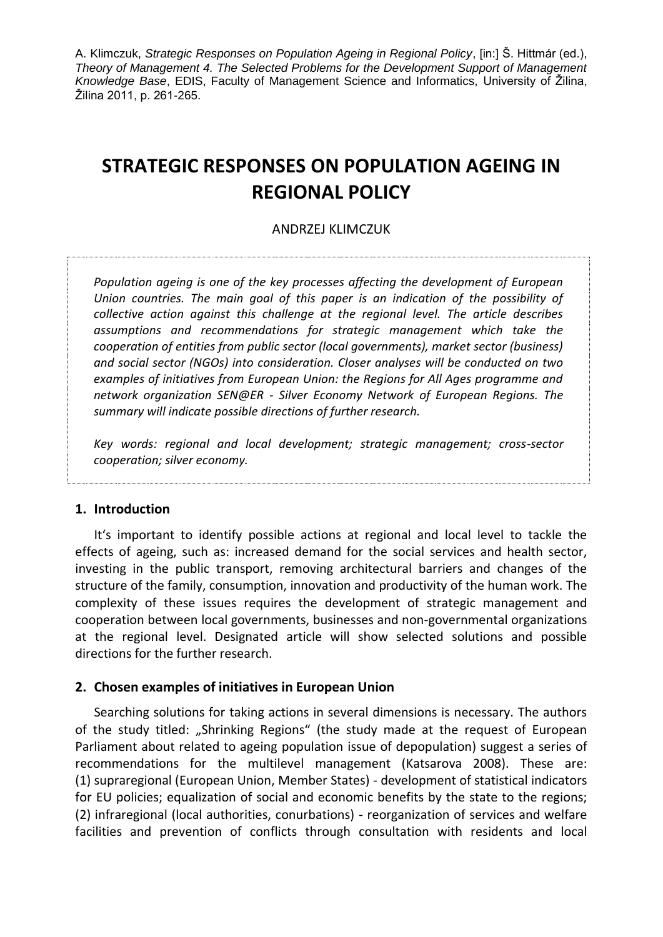# **STRATEGIC RESPONSES ON POPULATION AGEING IN REGIONAL POLICY**

## ANDRZEJ KLIMCZUK

*Population ageing is one of the key processes affecting the development of European Union countries. The main goal of this paper is an indication of the possibility of collective action against this challenge at the regional level. The article describes assumptions and recommendations for strategic management which take the cooperation of entities from public sector (local governments), market sector (business) and social sector (NGOs) into consideration. Closer analyses will be conducted on two examples of initiatives from European Union: the Regions for All Ages programme and network organization SEN@ER - Silver Economy Network of European Regions. The summary will indicate possible directions of further research.*

*Key words: regional and local development; strategic management; cross-sector cooperation; silver economy.*

### **1. Introduction**

It's important to identify possible actions at regional and local level to tackle the effects of ageing, such as: increased demand for the social services and health sector, investing in the public transport, removing architectural barriers and changes of the structure of the family, consumption, innovation and productivity of the human work. The complexity of these issues requires the development of strategic management and cooperation between local governments, businesses and non-governmental organizations at the regional level. Designated article will show selected solutions and possible directions for the further research.

#### **2. Chosen examples of initiatives in European Union**

Searching solutions for taking actions in several dimensions is necessary. The authors of the study titled: "Shrinking Regions" (the study made at the request of European Parliament about related to ageing population issue of depopulation) suggest a series of recommendations for the multilevel management (Katsarova 2008). These are: (1) supraregional (European Union, Member States) - development of statistical indicators for EU policies; equalization of social and economic benefits by the state to the regions; (2) infraregional (local authorities, conurbations) - reorganization of services and welfare facilities and prevention of conflicts through consultation with residents and local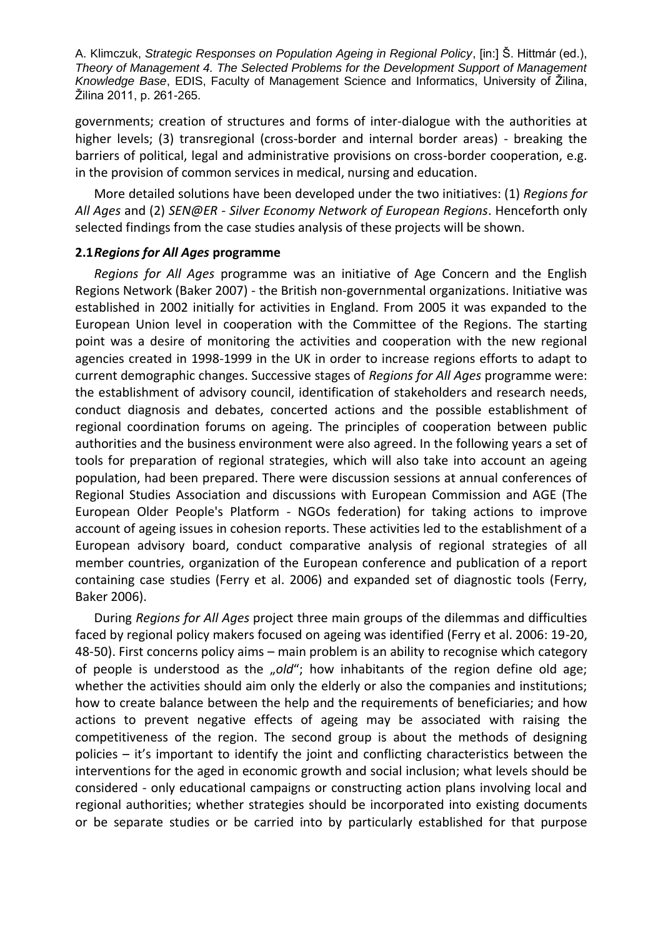governments; creation of structures and forms of inter-dialogue with the authorities at higher levels; (3) transregional (cross-border and internal border areas) - breaking the barriers of political, legal and administrative provisions on cross-border cooperation, e.g. in the provision of common services in medical, nursing and education.

More detailed solutions have been developed under the two initiatives: (1) *Regions for All Ages* and (2) *SEN@ER - Silver Economy Network of European Regions*. Henceforth only selected findings from the case studies analysis of these projects will be shown.

### **2.1***Regions for All Ages* **programme**

*Regions for All Ages* programme was an initiative of Age Concern and the English Regions Network (Baker 2007) - the British non-governmental organizations. Initiative was established in 2002 initially for activities in England. From 2005 it was expanded to the European Union level in cooperation with the Committee of the Regions. The starting point was a desire of monitoring the activities and cooperation with the new regional agencies created in 1998-1999 in the UK in order to increase regions efforts to adapt to current demographic changes. Successive stages of *Regions for All Ages* programme were: the establishment of advisory council, identification of stakeholders and research needs, conduct diagnosis and debates, concerted actions and the possible establishment of regional coordination forums on ageing. The principles of cooperation between public authorities and the business environment were also agreed. In the following years a set of tools for preparation of regional strategies, which will also take into account an ageing population, had been prepared. There were discussion sessions at annual conferences of Regional Studies Association and discussions with European Commission and AGE (The European Older People's Platform - NGOs federation) for taking actions to improve account of ageing issues in cohesion reports. These activities led to the establishment of a European advisory board, conduct comparative analysis of regional strategies of all member countries, organization of the European conference and publication of a report containing case studies (Ferry et al. 2006) and expanded set of diagnostic tools (Ferry, Baker 2006).

During *Regions for All Ages* project three main groups of the dilemmas and difficulties faced by regional policy makers focused on ageing was identified (Ferry et al. 2006: 19-20, 48-50). First concerns policy aims – main problem is an ability to recognise which category of people is understood as the "old"; how inhabitants of the region define old age; whether the activities should aim only the elderly or also the companies and institutions; how to create balance between the help and the requirements of beneficiaries; and how actions to prevent negative effects of ageing may be associated with raising the competitiveness of the region. The second group is about the methods of designing policies – it's important to identify the joint and conflicting characteristics between the interventions for the aged in economic growth and social inclusion; what levels should be considered - only educational campaigns or constructing action plans involving local and regional authorities; whether strategies should be incorporated into existing documents or be separate studies or be carried into by particularly established for that purpose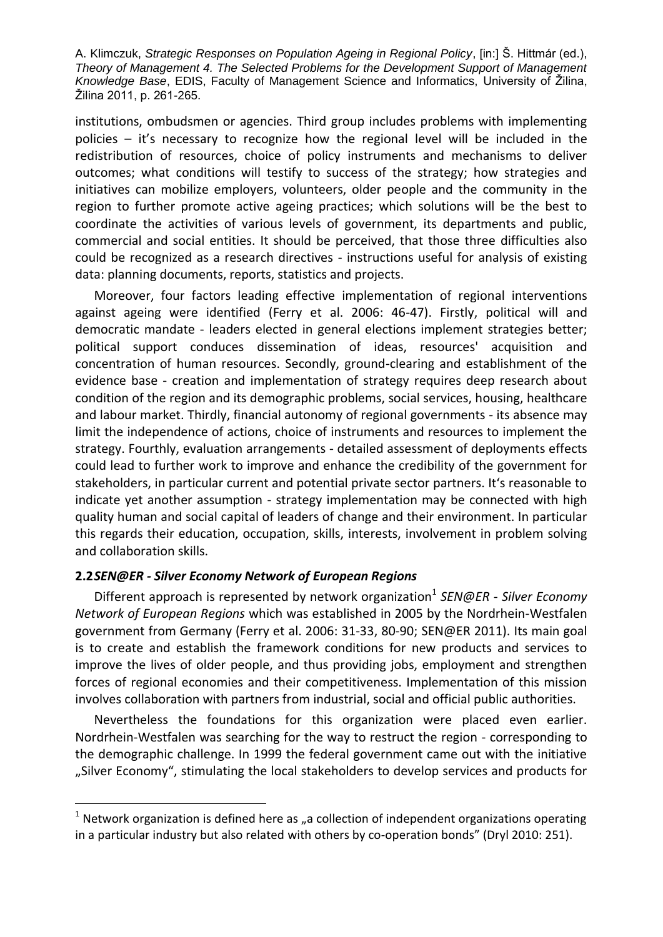institutions, ombudsmen or agencies. Third group includes problems with implementing policies – it's necessary to recognize how the regional level will be included in the redistribution of resources, choice of policy instruments and mechanisms to deliver outcomes; what conditions will testify to success of the strategy; how strategies and initiatives can mobilize employers, volunteers, older people and the community in the region to further promote active ageing practices; which solutions will be the best to coordinate the activities of various levels of government, its departments and public, commercial and social entities. It should be perceived, that those three difficulties also could be recognized as a research directives - instructions useful for analysis of existing data: planning documents, reports, statistics and projects.

Moreover, four factors leading effective implementation of regional interventions against ageing were identified (Ferry et al. 2006: 46-47). Firstly, political will and democratic mandate - leaders elected in general elections implement strategies better; political support conduces dissemination of ideas, resources' acquisition and concentration of human resources. Secondly, ground-clearing and establishment of the evidence base - creation and implementation of strategy requires deep research about condition of the region and its demographic problems, social services, housing, healthcare and labour market. Thirdly, financial autonomy of regional governments - its absence may limit the independence of actions, choice of instruments and resources to implement the strategy. Fourthly, evaluation arrangements - detailed assessment of deployments effects could lead to further work to improve and enhance the credibility of the government for stakeholders, in particular current and potential private sector partners. It's reasonable to indicate yet another assumption - strategy implementation may be connected with high quality human and social capital of leaders of change and their environment. In particular this regards their education, occupation, skills, interests, involvement in problem solving and collaboration skills.

## **2.2***SEN@ER - Silver Economy Network of European Regions*

l

Different approach is represented by network organization<sup>1</sup> SEN@ER - Silver Economy *Network of European Regions* which was established in 2005 by the Nordrhein-Westfalen government from Germany (Ferry et al. 2006: 31-33, 80-90; SEN@ER 2011). Its main goal is to create and establish the framework conditions for new products and services to improve the lives of older people, and thus providing jobs, employment and strengthen forces of regional economies and their competitiveness. Implementation of this mission involves collaboration with partners from industrial, social and official public authorities.

Nevertheless the foundations for this organization were placed even earlier. Nordrhein-Westfalen was searching for the way to restruct the region - corresponding to the demographic challenge. In 1999 the federal government came out with the initiative "Silver Economy", stimulating the local stakeholders to develop services and products for

 $<sup>1</sup>$  Network organization is defined here as "a collection of independent organizations operating</sup> in a particular industry but also related with others by co-operation bonds" (Dryl 2010: 251).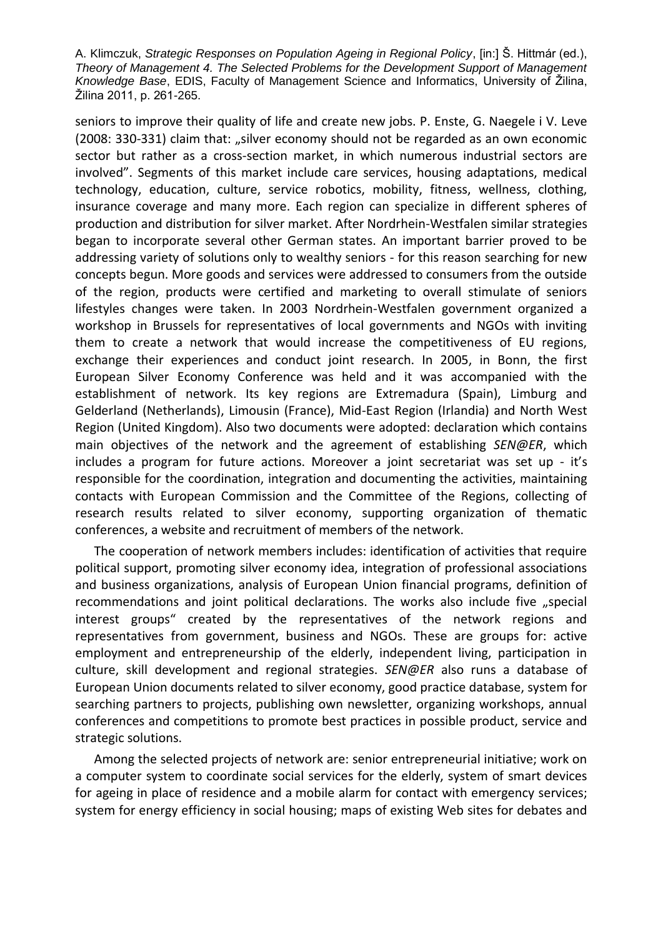seniors to improve their quality of life and create new jobs. P. Enste, G. Naegele i V. Leve (2008: 330-331) claim that: "silver economy should not be regarded as an own economic sector but rather as a cross-section market, in which numerous industrial sectors are involved". Segments of this market include care services, housing adaptations, medical technology, education, culture, service robotics, mobility, fitness, wellness, clothing, insurance coverage and many more. Each region can specialize in different spheres of production and distribution for silver market. After Nordrhein-Westfalen similar strategies began to incorporate several other German states. An important barrier proved to be addressing variety of solutions only to wealthy seniors - for this reason searching for new concepts begun. More goods and services were addressed to consumers from the outside of the region, products were certified and marketing to overall stimulate of seniors lifestyles changes were taken. In 2003 Nordrhein-Westfalen government organized a workshop in Brussels for representatives of local governments and NGOs with inviting them to create a network that would increase the competitiveness of EU regions, exchange their experiences and conduct joint research. In 2005, in Bonn, the first European Silver Economy Conference was held and it was accompanied with the establishment of network. Its key regions are Extremadura (Spain), Limburg and Gelderland (Netherlands), Limousin (France), Mid-East Region (Irlandia) and North West Region (United Kingdom). Also two documents were adopted: declaration which contains main objectives of the network and the agreement of establishing *SEN@ER*, which includes a program for future actions. Moreover a joint secretariat was set up - it's responsible for the coordination, integration and documenting the activities, maintaining contacts with European Commission and the Committee of the Regions, collecting of research results related to silver economy, supporting organization of thematic conferences, a website and recruitment of members of the network.

The cooperation of network members includes: identification of activities that require political support, promoting silver economy idea, integration of professional associations and business organizations, analysis of European Union financial programs, definition of recommendations and joint political declarations. The works also include five "special interest groups" created by the representatives of the network regions and representatives from government, business and NGOs. These are groups for: active employment and entrepreneurship of the elderly, independent living, participation in culture, skill development and regional strategies. *SEN@ER* also runs a database of European Union documents related to silver economy, good practice database, system for searching partners to projects, publishing own newsletter, organizing workshops, annual conferences and competitions to promote best practices in possible product, service and strategic solutions.

Among the selected projects of network are: senior entrepreneurial initiative; work on a computer system to coordinate social services for the elderly, system of smart devices for ageing in place of residence and a mobile alarm for contact with emergency services; system for energy efficiency in social housing; maps of existing Web sites for debates and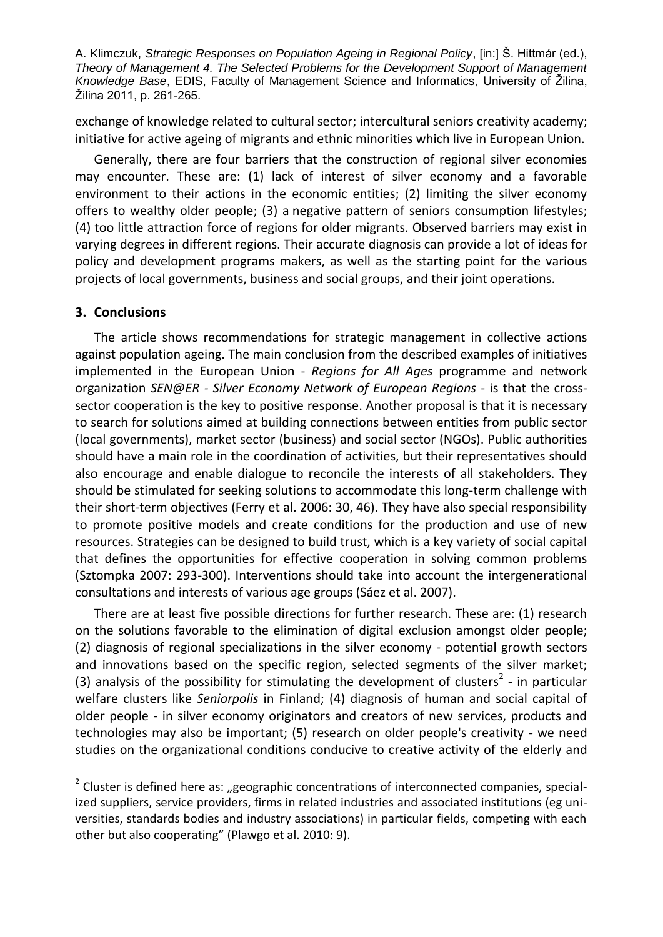exchange of knowledge related to cultural sector; intercultural seniors creativity academy; initiative for active ageing of migrants and ethnic minorities which live in European Union.

Generally, there are four barriers that the construction of regional silver economies may encounter. These are: (1) lack of interest of silver economy and a favorable environment to their actions in the economic entities; (2) limiting the silver economy offers to wealthy older people; (3) a negative pattern of seniors consumption lifestyles; (4) too little attraction force of regions for older migrants. Observed barriers may exist in varying degrees in different regions. Their accurate diagnosis can provide a lot of ideas for policy and development programs makers, as well as the starting point for the various projects of local governments, business and social groups, and their joint operations.

## **3. Conclusions**

l

The article shows recommendations for strategic management in collective actions against population ageing. The main conclusion from the described examples of initiatives implemented in the European Union - *Regions for All Ages* programme and network organization *SEN@ER - Silver Economy Network of European Regions* - is that the crosssector cooperation is the key to positive response. Another proposal is that it is necessary to search for solutions aimed at building connections between entities from public sector (local governments), market sector (business) and social sector (NGOs). Public authorities should have a main role in the coordination of activities, but their representatives should also encourage and enable dialogue to reconcile the interests of all stakeholders. They should be stimulated for seeking solutions to accommodate this long-term challenge with their short-term objectives (Ferry et al. 2006: 30, 46). They have also special responsibility to promote positive models and create conditions for the production and use of new resources. Strategies can be designed to build trust, which is a key variety of social capital that defines the opportunities for effective cooperation in solving common problems (Sztompka 2007: 293-300). Interventions should take into account the intergenerational consultations and interests of various age groups (Sáez et al. 2007).

There are at least five possible directions for further research. These are: (1) research on the solutions favorable to the elimination of digital exclusion amongst older people; (2) diagnosis of regional specializations in the silver economy - potential growth sectors and innovations based on the specific region, selected segments of the silver market; (3) analysis of the possibility for stimulating the development of clusters<sup>2</sup> - in particular welfare clusters like *Seniorpolis* in Finland; (4) diagnosis of human and social capital of older people - in silver economy originators and creators of new services, products and technologies may also be important; (5) research on older people's creativity - we need studies on the organizational conditions conducive to creative activity of the elderly and

<sup>2</sup> Cluster is defined here as: "geographic concentrations of interconnected companies, specialized suppliers, service providers, firms in related industries and associated institutions (eg universities, standards bodies and industry associations) in particular fields, competing with each other but also cooperating" (Plawgo et al. 2010: 9).